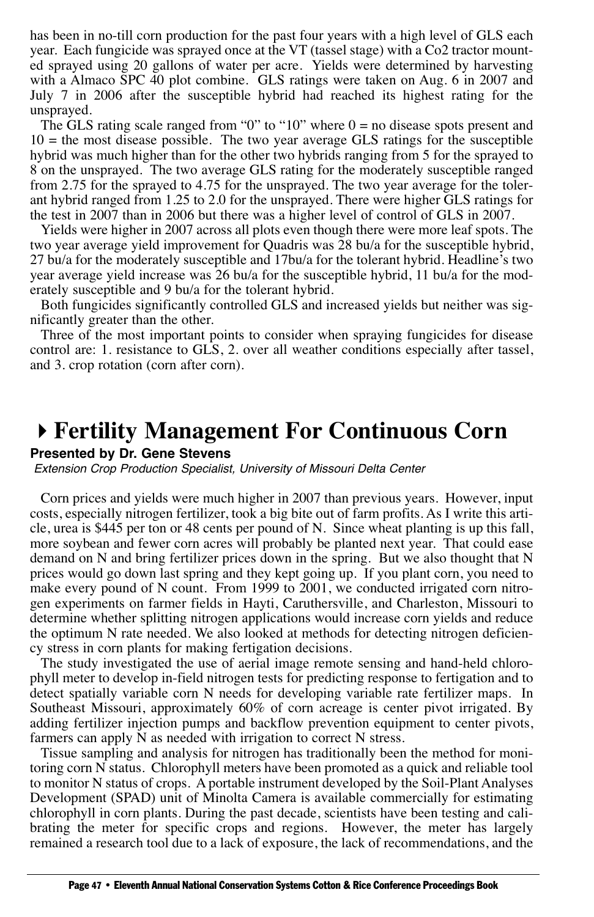has been in no-till corn production for the past four years with a high level of GLS each year. Each fungicide was sprayed once at the VT (tassel stage) with a Co2 tractor mounted sprayed using 20 gallons of water per acre. Yields were determined by harvesting with a Almaco SPC 40 plot combine. GLS ratings were taken on Aug. 6 in 2007 and July 7 in 2006 after the susceptible hybrid had reached its highest rating for the unsprayed.

The GLS rating scale ranged from "0" to "10" where  $0 =$  no disease spots present and  $10 =$  the most disease possible. The two year average GLS ratings for the susceptible hybrid was much higher than for the other two hybrids ranging from 5 for the sprayed to 8 on the unsprayed. The two average GLS rating for the moderately susceptible ranged from 2.75 for the sprayed to 4.75 for the unsprayed. The two year average for the tolerant hybrid ranged from 1.25 to 2.0 for the unsprayed. There were higher GLS ratings for the test in 2007 than in 2006 but there was a higher level of control of GLS in 2007.

Yields were higher in 2007 across all plots even though there were more leaf spots. The two year average yield improvement for Quadris was 28 bu/a for the susceptible hybrid, 27 bu/a for the moderately susceptible and 17bu/a for the tolerant hybrid. Headline's two year average yield increase was 26 bu/a for the susceptible hybrid, 11 bu/a for the moderately susceptible and 9 bu/a for the tolerant hybrid.

Both fungicides significantly controlled GLS and increased yields but neither was significantly greater than the other.

Three of the most important points to consider when spraying fungicides for disease control are: 1. resistance to GLS, 2. over all weather conditions especially after tassel, and 3. crop rotation (corn after corn).

## **Fertility Management For Continuous Corn**

## **Presented by Dr. Gene Stevens**

Extension Crop Production Specialist, University of Missouri Delta Center

Corn prices and yields were much higher in 2007 than previous years. However, input costs, especially nitrogen fertilizer, took a big bite out of farm profits. As I write this article, urea is \$445 per ton or 48 cents per pound of N. Since wheat planting is up this fall, more soybean and fewer corn acres will probably be planted next year. That could ease demand on N and bring fertilizer prices down in the spring. But we also thought that N prices would go down last spring and they kept going up. If you plant corn, you need to make every pound of N count. From 1999 to 2001, we conducted irrigated corn nitrogen experiments on farmer fields in Hayti, Caruthersville, and Charleston, Missouri to determine whether splitting nitrogen applications would increase corn yields and reduce the optimum N rate needed. We also looked at methods for detecting nitrogen deficiency stress in corn plants for making fertigation decisions.

The study investigated the use of aerial image remote sensing and hand-held chlorophyll meter to develop in-field nitrogen tests for predicting response to fertigation and to detect spatially variable corn N needs for developing variable rate fertilizer maps. In Southeast Missouri, approximately 60% of corn acreage is center pivot irrigated. By adding fertilizer injection pumps and backflow prevention equipment to center pivots, farmers can apply N as needed with irrigation to correct N stress.

Tissue sampling and analysis for nitrogen has traditionally been the method for monitoring corn N status. Chlorophyll meters have been promoted as a quick and reliable tool to monitor N status of crops. A portable instrument developed by the Soil-Plant Analyses Development (SPAD) unit of Minolta Camera is available commercially for estimating chlorophyll in corn plants. During the past decade, scientists have been testing and calibrating the meter for specific crops and regions. However, the meter has largely remained a research tool due to a lack of exposure, the lack of recommendations, and the